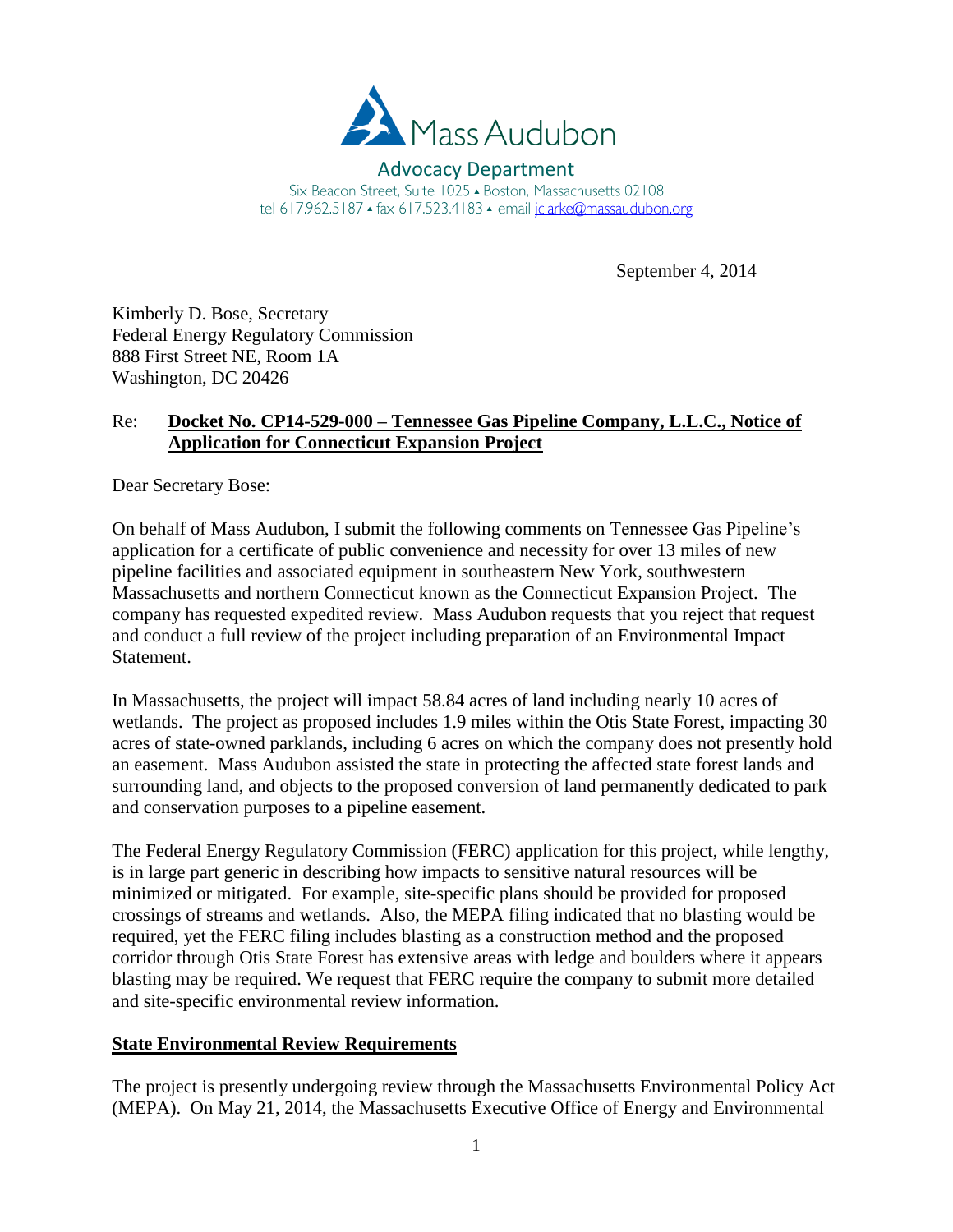

Advocacy Department Six Beacon Street, Suite 1025 - Boston, Massachusetts 02108 tel 617.962.5187 ▲ fax 617.523.4183 ▲ email jclarke@massaudubon.org

September 4, 2014

Kimberly D. Bose, Secretary Federal Energy Regulatory Commission 888 First Street NE, Room 1A Washington, DC 20426

# Re: **Docket No. CP14-529-000 – Tennessee Gas Pipeline Company, L.L.C., Notice of Application for Connecticut Expansion Project**

Dear Secretary Bose:

On behalf of Mass Audubon, I submit the following comments on Tennessee Gas Pipeline's application for a certificate of public convenience and necessity for over 13 miles of new pipeline facilities and associated equipment in southeastern New York, southwestern Massachusetts and northern Connecticut known as the Connecticut Expansion Project. The company has requested expedited review. Mass Audubon requests that you reject that request and conduct a full review of the project including preparation of an Environmental Impact Statement.

In Massachusetts, the project will impact 58.84 acres of land including nearly 10 acres of wetlands. The project as proposed includes 1.9 miles within the Otis State Forest, impacting 30 acres of state-owned parklands, including 6 acres on which the company does not presently hold an easement. Mass Audubon assisted the state in protecting the affected state forest lands and surrounding land, and objects to the proposed conversion of land permanently dedicated to park and conservation purposes to a pipeline easement.

The Federal Energy Regulatory Commission (FERC) application for this project, while lengthy, is in large part generic in describing how impacts to sensitive natural resources will be minimized or mitigated. For example, site-specific plans should be provided for proposed crossings of streams and wetlands. Also, the MEPA filing indicated that no blasting would be required, yet the FERC filing includes blasting as a construction method and the proposed corridor through Otis State Forest has extensive areas with ledge and boulders where it appears blasting may be required. We request that FERC require the company to submit more detailed and site-specific environmental review information.

## **State Environmental Review Requirements**

The project is presently undergoing review through the Massachusetts Environmental Policy Act (MEPA). On May 21, 2014, the Massachusetts Executive Office of Energy and Environmental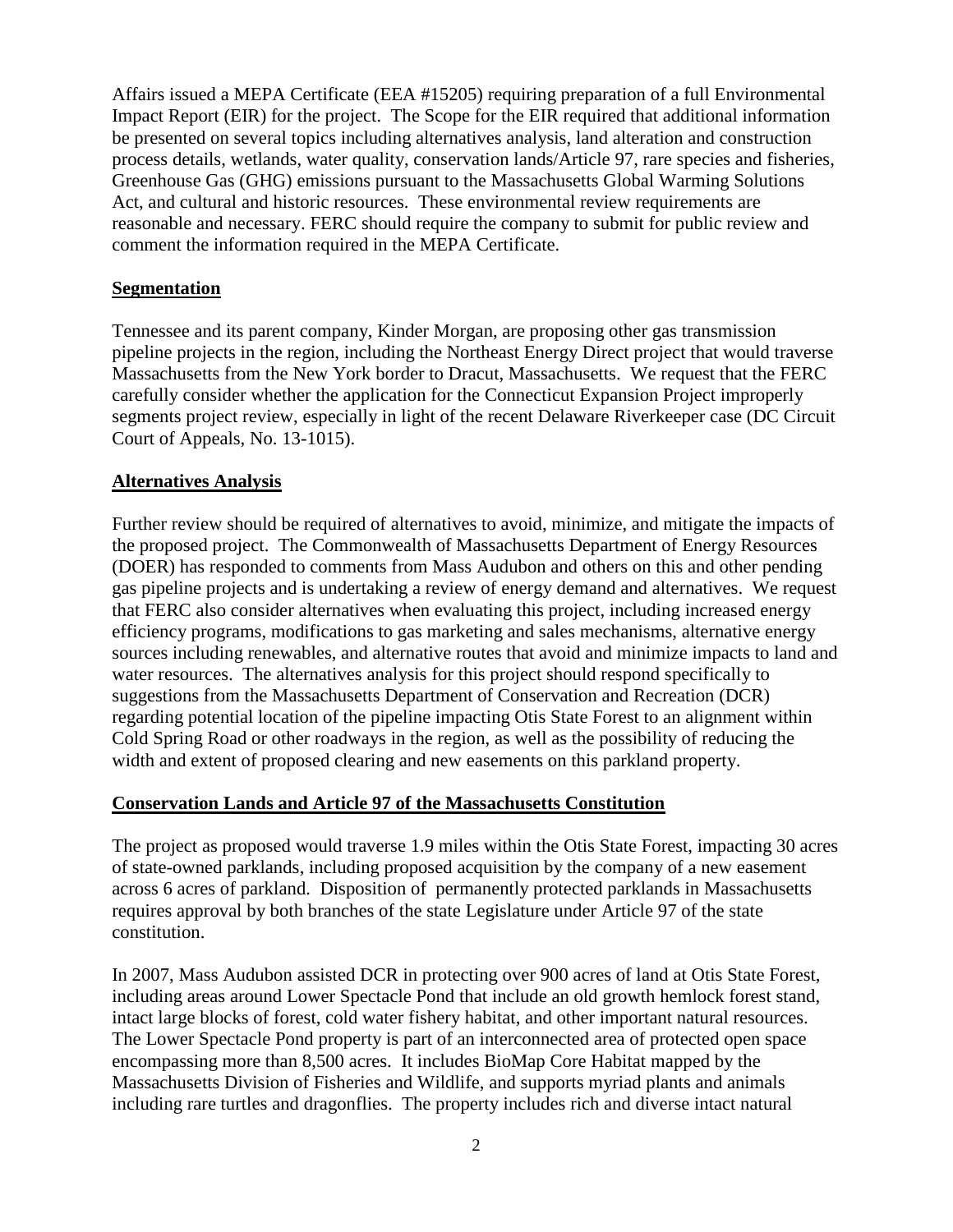Affairs issued a MEPA Certificate (EEA #15205) requiring preparation of a full Environmental Impact Report (EIR) for the project. The Scope for the EIR required that additional information be presented on several topics including alternatives analysis, land alteration and construction process details, wetlands, water quality, conservation lands/Article 97, rare species and fisheries, Greenhouse Gas (GHG) emissions pursuant to the Massachusetts Global Warming Solutions Act, and cultural and historic resources. These environmental review requirements are reasonable and necessary. FERC should require the company to submit for public review and comment the information required in the MEPA Certificate.

## **Segmentation**

Tennessee and its parent company, Kinder Morgan, are proposing other gas transmission pipeline projects in the region, including the Northeast Energy Direct project that would traverse Massachusetts from the New York border to Dracut, Massachusetts. We request that the FERC carefully consider whether the application for the Connecticut Expansion Project improperly segments project review, especially in light of the recent Delaware Riverkeeper case (DC Circuit Court of Appeals, No. 13-1015).

## **Alternatives Analysis**

Further review should be required of alternatives to avoid, minimize, and mitigate the impacts of the proposed project. The Commonwealth of Massachusetts Department of Energy Resources (DOER) has responded to comments from Mass Audubon and others on this and other pending gas pipeline projects and is undertaking a review of energy demand and alternatives. We request that FERC also consider alternatives when evaluating this project, including increased energy efficiency programs, modifications to gas marketing and sales mechanisms, alternative energy sources including renewables, and alternative routes that avoid and minimize impacts to land and water resources. The alternatives analysis for this project should respond specifically to suggestions from the Massachusetts Department of Conservation and Recreation (DCR) regarding potential location of the pipeline impacting Otis State Forest to an alignment within Cold Spring Road or other roadways in the region, as well as the possibility of reducing the width and extent of proposed clearing and new easements on this parkland property.

#### **Conservation Lands and Article 97 of the Massachusetts Constitution**

The project as proposed would traverse 1.9 miles within the Otis State Forest, impacting 30 acres of state-owned parklands, including proposed acquisition by the company of a new easement across 6 acres of parkland. Disposition of permanently protected parklands in Massachusetts requires approval by both branches of the state Legislature under Article 97 of the state constitution.

In 2007, Mass Audubon assisted DCR in protecting over 900 acres of land at Otis State Forest, including areas around Lower Spectacle Pond that include an old growth hemlock forest stand, intact large blocks of forest, cold water fishery habitat, and other important natural resources. The Lower Spectacle Pond property is part of an interconnected area of protected open space encompassing more than 8,500 acres. It includes BioMap Core Habitat mapped by the Massachusetts Division of Fisheries and Wildlife, and supports myriad plants and animals including rare turtles and dragonflies. The property includes rich and diverse intact natural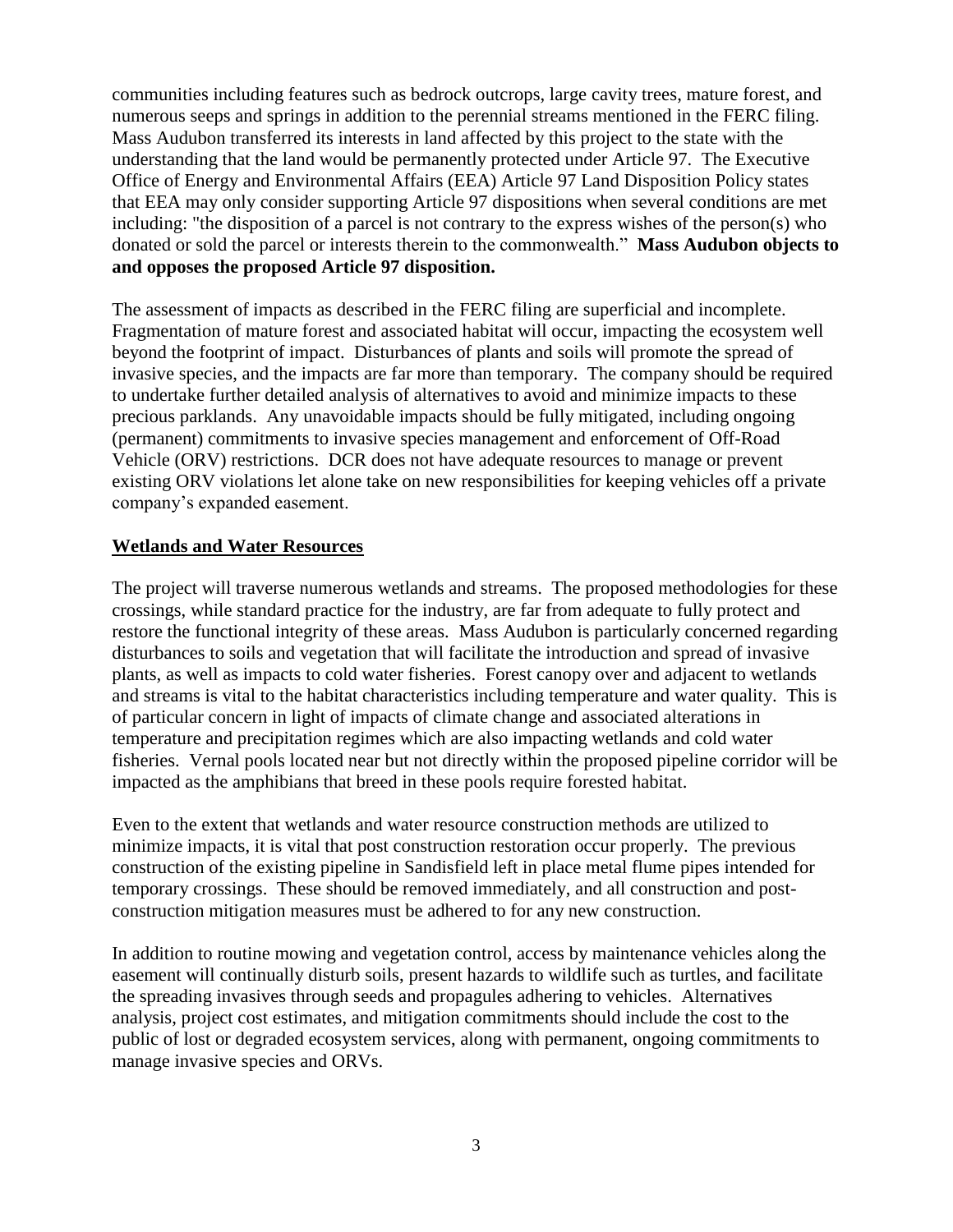communities including features such as bedrock outcrops, large cavity trees, mature forest, and numerous seeps and springs in addition to the perennial streams mentioned in the FERC filing. Mass Audubon transferred its interests in land affected by this project to the state with the understanding that the land would be permanently protected under Article 97. The Executive Office of Energy and Environmental Affairs (EEA) Article 97 Land Disposition Policy states that EEA may only consider supporting Article 97 dispositions when several conditions are met including: "the disposition of a parcel is not contrary to the express wishes of the person(s) who donated or sold the parcel or interests therein to the commonwealth." **Mass Audubon objects to and opposes the proposed Article 97 disposition.**

The assessment of impacts as described in the FERC filing are superficial and incomplete. Fragmentation of mature forest and associated habitat will occur, impacting the ecosystem well beyond the footprint of impact. Disturbances of plants and soils will promote the spread of invasive species, and the impacts are far more than temporary. The company should be required to undertake further detailed analysis of alternatives to avoid and minimize impacts to these precious parklands. Any unavoidable impacts should be fully mitigated, including ongoing (permanent) commitments to invasive species management and enforcement of Off-Road Vehicle (ORV) restrictions. DCR does not have adequate resources to manage or prevent existing ORV violations let alone take on new responsibilities for keeping vehicles off a private company's expanded easement.

## **Wetlands and Water Resources**

The project will traverse numerous wetlands and streams. The proposed methodologies for these crossings, while standard practice for the industry, are far from adequate to fully protect and restore the functional integrity of these areas. Mass Audubon is particularly concerned regarding disturbances to soils and vegetation that will facilitate the introduction and spread of invasive plants, as well as impacts to cold water fisheries. Forest canopy over and adjacent to wetlands and streams is vital to the habitat characteristics including temperature and water quality. This is of particular concern in light of impacts of climate change and associated alterations in temperature and precipitation regimes which are also impacting wetlands and cold water fisheries. Vernal pools located near but not directly within the proposed pipeline corridor will be impacted as the amphibians that breed in these pools require forested habitat.

Even to the extent that wetlands and water resource construction methods are utilized to minimize impacts, it is vital that post construction restoration occur properly. The previous construction of the existing pipeline in Sandisfield left in place metal flume pipes intended for temporary crossings. These should be removed immediately, and all construction and postconstruction mitigation measures must be adhered to for any new construction.

In addition to routine mowing and vegetation control, access by maintenance vehicles along the easement will continually disturb soils, present hazards to wildlife such as turtles, and facilitate the spreading invasives through seeds and propagules adhering to vehicles. Alternatives analysis, project cost estimates, and mitigation commitments should include the cost to the public of lost or degraded ecosystem services, along with permanent, ongoing commitments to manage invasive species and ORVs.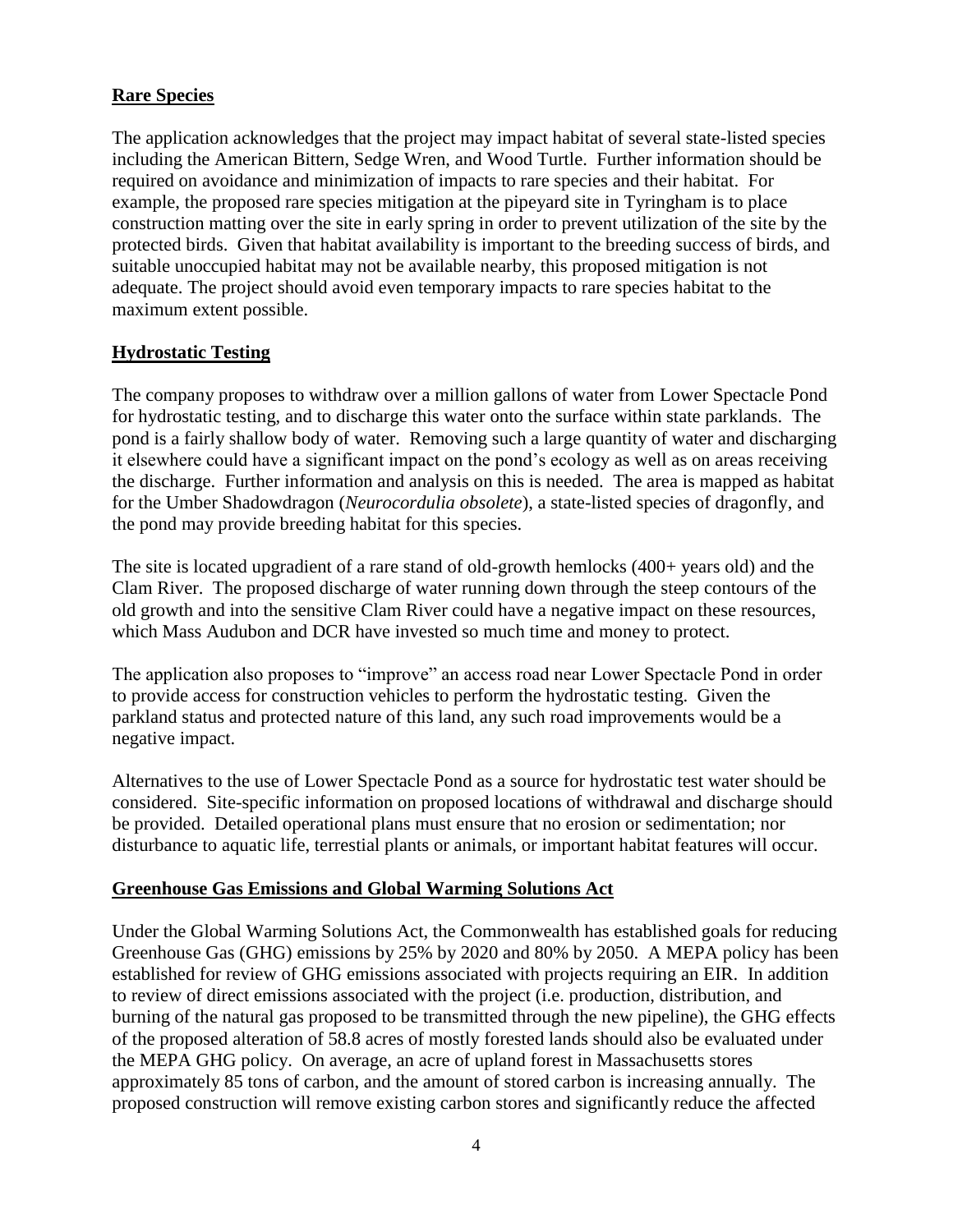## **Rare Species**

The application acknowledges that the project may impact habitat of several state-listed species including the American Bittern, Sedge Wren, and Wood Turtle. Further information should be required on avoidance and minimization of impacts to rare species and their habitat. For example, the proposed rare species mitigation at the pipeyard site in Tyringham is to place construction matting over the site in early spring in order to prevent utilization of the site by the protected birds. Given that habitat availability is important to the breeding success of birds, and suitable unoccupied habitat may not be available nearby, this proposed mitigation is not adequate. The project should avoid even temporary impacts to rare species habitat to the maximum extent possible.

## **Hydrostatic Testing**

The company proposes to withdraw over a million gallons of water from Lower Spectacle Pond for hydrostatic testing, and to discharge this water onto the surface within state parklands. The pond is a fairly shallow body of water. Removing such a large quantity of water and discharging it elsewhere could have a significant impact on the pond's ecology as well as on areas receiving the discharge. Further information and analysis on this is needed. The area is mapped as habitat for the Umber Shadowdragon (*Neurocordulia obsolete*), a state-listed species of dragonfly, and the pond may provide breeding habitat for this species.

The site is located upgradient of a rare stand of old-growth hemlocks (400+ years old) and the Clam River. The proposed discharge of water running down through the steep contours of the old growth and into the sensitive Clam River could have a negative impact on these resources, which Mass Audubon and DCR have invested so much time and money to protect.

The application also proposes to "improve" an access road near Lower Spectacle Pond in order to provide access for construction vehicles to perform the hydrostatic testing. Given the parkland status and protected nature of this land, any such road improvements would be a negative impact.

Alternatives to the use of Lower Spectacle Pond as a source for hydrostatic test water should be considered. Site-specific information on proposed locations of withdrawal and discharge should be provided. Detailed operational plans must ensure that no erosion or sedimentation; nor disturbance to aquatic life, terrestial plants or animals, or important habitat features will occur.

#### **Greenhouse Gas Emissions and Global Warming Solutions Act**

Under the Global Warming Solutions Act, the Commonwealth has established goals for reducing Greenhouse Gas (GHG) emissions by 25% by 2020 and 80% by 2050. A MEPA policy has been established for review of GHG emissions associated with projects requiring an EIR. In addition to review of direct emissions associated with the project (i.e. production, distribution, and burning of the natural gas proposed to be transmitted through the new pipeline), the GHG effects of the proposed alteration of 58.8 acres of mostly forested lands should also be evaluated under the MEPA GHG policy. On average, an acre of upland forest in Massachusetts stores approximately 85 tons of carbon, and the amount of stored carbon is increasing annually. The proposed construction will remove existing carbon stores and significantly reduce the affected